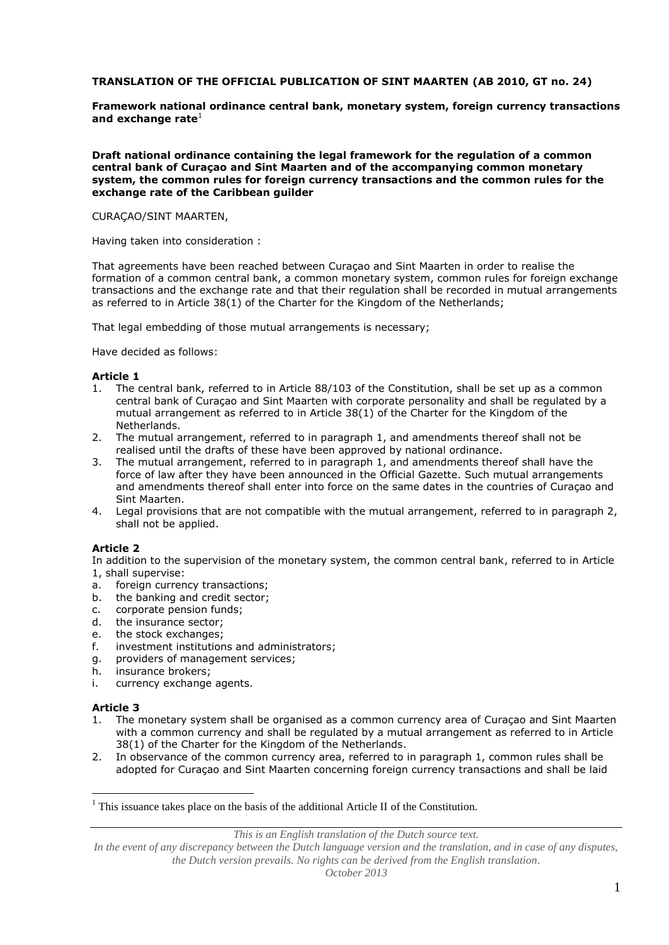## **TRANSLATION OF THE OFFICIAL PUBLICATION OF SINT MAARTEN (AB 2010, GT no. 24)**

**Framework national ordinance central bank, monetary system, foreign currency transactions**  and exchange rate<sup>1</sup>

**Draft national ordinance containing the legal framework for the regulation of a common central bank of Curaçao and Sint Maarten and of the accompanying common monetary system, the common rules for foreign currency transactions and the common rules for the exchange rate of the Caribbean guilder**

CURAÇAO/SINT MAARTEN,

Having taken into consideration :

That agreements have been reached between Curaçao and Sint Maarten in order to realise the formation of a common central bank, a common monetary system, common rules for foreign exchange transactions and the exchange rate and that their regulation shall be recorded in mutual arrangements as referred to in Article 38(1) of the Charter for the Kingdom of the Netherlands;

That legal embedding of those mutual arrangements is necessary;

Have decided as follows:

### **Article 1**

- 1. The central bank, referred to in Article 88/103 of the Constitution, shall be set up as a common central bank of Curaçao and Sint Maarten with corporate personality and shall be regulated by a mutual arrangement as referred to in Article 38(1) of the Charter for the Kingdom of the Netherlands.
- 2. The mutual arrangement, referred to in paragraph 1, and amendments thereof shall not be realised until the drafts of these have been approved by national ordinance.
- 3. The mutual arrangement, referred to in paragraph 1, and amendments thereof shall have the force of law after they have been announced in the Official Gazette. Such mutual arrangements and amendments thereof shall enter into force on the same dates in the countries of Curaçao and Sint Maarten.
- 4. Legal provisions that are not compatible with the mutual arrangement, referred to in paragraph 2, shall not be applied.

## **Article 2**

In addition to the supervision of the monetary system, the common central bank, referred to in Article 1, shall supervise:

- a. foreign currency transactions;
- b. the banking and credit sector;
- c. corporate pension funds;
- d. the insurance sector;
- e. the stock exchanges;
- f. investment institutions and administrators;
- g. providers of management services;
- h. insurance brokers;
- i. currency exchange agents.

#### **Article 3**

 $\overline{a}$ 

- 1. The monetary system shall be organised as a common currency area of Curaçao and Sint Maarten with a common currency and shall be regulated by a mutual arrangement as referred to in Article 38(1) of the Charter for the Kingdom of the Netherlands.
- 2. In observance of the common currency area, referred to in paragraph 1, common rules shall be adopted for Curaçao and Sint Maarten concerning foreign currency transactions and shall be laid

*This is an English translation of the Dutch source text.*

 $<sup>1</sup>$  This issuance takes place on the basis of the additional Article II of the Constitution.</sup>

In the event of any discrepancy between the Dutch language version and the translation, and in case of any disputes, *the Dutch version prevails. No rights can be derived from the English translation.*